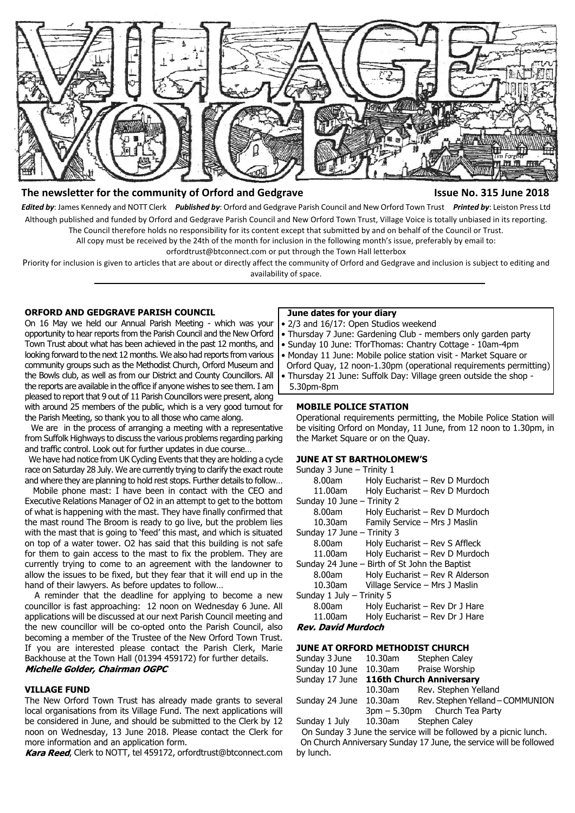

# The newsletter for the community of Orford and Gedgrave **Interpreterate Issue No. 315 June 2018**

*Edited by*: James Kennedy and NOTT Clerk *Published by*: Orford and Gedgrave Parish Council and New Orford Town Trust *Printed by*: Leiston Press Ltd Although published and funded by Orford and Gedgrave Parish Council and New Orford Town Trust, Village Voice is totally unbiased in its reporting. The Council therefore holds no responsibility for its content except that submitted by and on behalf of the Council or Trust.

All copy must be received by the 24th of the month for inclusion in the following month's issue, preferably by email to:

orfordtrust@btconnect.com or put through the Town Hall letterbox

Priority for inclusion is given to articles that are about or directly affect the community of Orford and Gedgrave and inclusion is subject to editing and availability of space.

# **ORFORD AND GEDGRAVE PARISH COUNCIL**

On 16 May we held our Annual Parish Meeting - which was your opportunity to hear reports from the Parish Council and the New Orford Town Trust about what has been achieved in the past 12 months, and looking forward to the next 12 months. We also had reports from various community groups such as the Methodist Church, Orford Museum and the Bowls club, as well as from our District and County Councillors. All the reports are available in the office if anyone wishes to see them. I am pleased to report that 9 out of 11 Parish Councillors were present, along with around 25 members of the public, which is a very good turnout for the Parish Meeting, so thank you to all those who came along.

 We are in the process of arranging a meeting with a representative from Suffolk Highways to discuss the various problems regarding parking and traffic control. Look out for further updates in due course…

 We have had notice from UK Cycling Events that they are holding a cycle race on Saturday 28 July. We are currently trying to clarify the exact route and where they are planning to hold rest stops. Further details to follow…

 Mobile phone mast: I have been in contact with the CEO and Executive Relations Manager of O2 in an attempt to get to the bottom of what is happening with the mast. They have finally confirmed that the mast round The Broom is ready to go live, but the problem lies with the mast that is going to 'feed' this mast, and which is situated on top of a water tower. O2 has said that this building is not safe for them to gain access to the mast to fix the problem. They are currently trying to come to an agreement with the landowner to allow the issues to be fixed, but they fear that it will end up in the hand of their lawyers. As before updates to follow…

 A reminder that the deadline for applying to become a new councillor is fast approaching: 12 noon on Wednesday 6 June. All applications will be discussed at our next Parish Council meeting and the new councillor will be co-opted onto the Parish Council, also becoming a member of the Trustee of the New Orford Town Trust. If you are interested please contact the Parish Clerk, Marie Backhouse at the Town Hall (01394 459172) for further details. Michelle Golder, Chairman OGPC

#### **VILLAGE FUND**

The New Orford Town Trust has already made grants to several local organisations from its Village Fund. The next applications will be considered in June, and should be submitted to the Clerk by 12 noon on Wednesday, 13 June 2018. Please contact the Clerk for more information and an application form.

Kara Reed, Clerk to NOTT, tel 459172, orfordtrust@btconnect.com

# **June dates for your diary**

- 2/3 and 16/17: Open Studios weekend
- Thursday 7 June: Gardening Club members only garden party
- Sunday 10 June: TforThomas: Chantry Cottage 10am-4pm
- Monday 11 June: Mobile police station visit Market Square or Orford Quay, 12 noon-1.30pm (operational requirements permitting)
- Thursday 21 June: Suffolk Day: Village green outside the shop 5.30pm-8pm

#### **MOBILE POLICE STATION**

Operational requirements permitting, the Mobile Police Station will be visiting Orford on Monday, 11 June, from 12 noon to 1.30pm, in the Market Square or on the Quay.

## **JUNE AT ST BARTHOLOMEW'S**

| Sunday 3 June - Trinity 1                     |                                 |  |  |
|-----------------------------------------------|---------------------------------|--|--|
| 8.00am                                        | Holy Eucharist – Rev D Murdoch  |  |  |
| 11.00am                                       | Holy Eucharist - Rev D Murdoch  |  |  |
| Sunday 10 June - Trinity 2                    |                                 |  |  |
| 8.00am                                        | Holy Eucharist - Rev D Murdoch  |  |  |
| 10.30am                                       | Family Service - Mrs J Maslin   |  |  |
| Sunday 17 June - Trinity 3                    |                                 |  |  |
| 8.00am                                        | Holy Eucharist - Rev S Affleck  |  |  |
| 11.00am                                       | Holy Eucharist - Rev D Murdoch  |  |  |
| Sunday 24 June – Birth of St John the Baptist |                                 |  |  |
| 8.00am                                        | Holy Eucharist - Rev R Alderson |  |  |
| 10.30am                                       | Village Service - Mrs J Maslin  |  |  |
| Sunday 1 July - Trinity 5                     |                                 |  |  |
| 8.00am                                        | Holy Eucharist - Rev Dr J Hare  |  |  |
| 11.00am                                       | Holy Eucharist - Rev Dr J Hare  |  |  |
| Rev. David Murdoch                            |                                 |  |  |

#### **JUNE AT ORFORD METHODIST CHURCH**

| Sunday 3 June 10.30am                   |         | Stephen Caley                    |
|-----------------------------------------|---------|----------------------------------|
| Sunday 10 June 10.30am Praise Worship   |         |                                  |
| Sunday 17 June 116th Church Anniversary |         |                                  |
|                                         | 10.30am | Rev. Stephen Yelland             |
| Sunday 24 June 10.30am                  |         | Rev. Stephen Yelland - COMMUNION |
|                                         |         | 3pm - 5.30pm Church Tea Party    |
| Sunday 1 July 10.30am Stephen Caley     |         |                                  |

 On Sunday 3 June the service will be followed by a picnic lunch. On Church Anniversary Sunday 17 June, the service will be followed by lunch.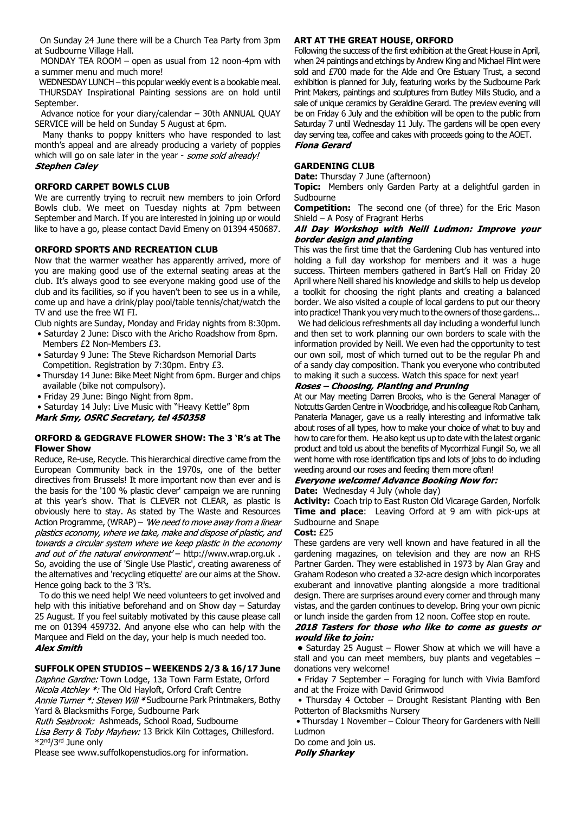On Sunday 24 June there will be a Church Tea Party from 3pm at Sudbourne Village Hall.

 MONDAY TEA ROOM – open as usual from 12 noon-4pm with a summer menu and much more!

 WEDNESDAY LUNCH – this popular weekly event is a bookable meal. THURSDAY Inspirational Painting sessions are on hold until September.

 Advance notice for your diary/calendar – 30th ANNUAL QUAY SERVICE will be held on Sunday 5 August at 6pm.

 Many thanks to poppy knitters who have responded to last month's appeal and are already producing a variety of poppies which will go on sale later in the year - some sold already! **Stephen Caley** 

# **ORFORD CARPET BOWLS CLUB**

We are currently trying to recruit new members to join Orford Bowls club. We meet on Tuesday nights at 7pm between September and March. If you are interested in joining up or would like to have a go, please contact David Emeny on 01394 450687.

# **ORFORD SPORTS AND RECREATION CLUB**

Now that the warmer weather has apparently arrived, more of you are making good use of the external seating areas at the club. It's always good to see everyone making good use of the club and its facilities, so if you haven't been to see us in a while, come up and have a drink/play pool/table tennis/chat/watch the TV and use the free WI FI.

Club nights are Sunday, Monday and Friday nights from 8:30pm. • Saturday 2 June: Disco with the Aricho Roadshow from 8pm.

- Members £2 Non-Members £3.
- Saturday 9 June: The Steve Richardson Memorial Darts Competition. Registration by 7:30pm. Entry £3.
- Thursday 14 June: Bike Meet Night from 6pm. Burger and chips available (bike not compulsory).
- Friday 29 June: Bingo Night from 8pm.

• Saturday 14 July: Live Music with "Heavy Kettle" 8pm<br>
Mark Smy, OSRC Secretary, tel 450358

#### **ORFORD & GEDGRAVE FLOWER SHOW: The 3 'R's at The Flower Show**

Reduce, Re-use, Recycle. This hierarchical directive came from the European Community back in the 1970s, one of the better directives from Brussels! It more important now than ever and is the basis for the '100 % plastic clever' campaign we are running at this year's show. That is CLEVER not CLEAR, as plastic is obviously here to stay. As stated by The Waste and Resources Action Programme, (WRAP) - 'We need to move away from a linear plastics economy, where we take, make and dispose of plastic, and towards a circular system where we keep plastic in the economy and out of the natural environment' - http://www.wrap.org.uk . So, avoiding the use of 'Single Use Plastic', creating awareness of the alternatives and 'recycling etiquette' are our aims at the Show. Hence going back to the 3 'R's.

 To do this we need help! We need volunteers to get involved and help with this initiative beforehand and on Show day – Saturday 25 August. If you feel suitably motivated by this cause please call me on 01394 459732. And anyone else who can help with the Marquee and Field on the day, your help is much needed too. **Alex Smith** 

# **SUFFOLK OPEN STUDIOS – WEEKENDS 2/3 & 16/17 June**

Daphne Gardne: Town Lodge, 13a Town Farm Estate, Orford Nicola Atchley \*: The Old Hayloft, Orford Craft Centre Annie Turner \*: Steven Will \*Sudbourne Park Printmakers, Bothy

Yard & Blacksmiths Forge, Sudbourne Park

Ruth Seabrook: Ashmeads, School Road, Sudbourne

Lisa Berry & Toby Mayhew: 13 Brick Kiln Cottages, Chillesford. \*2nd/3rd June only

Please see www.suffolkopenstudios.org for information.

# **ART AT THE GREAT HOUSE, ORFORD**

Following the success of the first exhibition at the Great House in April, when 24 paintings and etchings by Andrew King and Michael Flint were sold and £700 made for the Alde and Ore Estuary Trust, a second exhibition is planned for July, featuring works by the Sudbourne Park Print Makers, paintings and sculptures from Butley Mills Studio, and a sale of unique ceramics by Geraldine Gerard. The preview evening will be on Friday 6 July and the exhibition will be open to the public from Saturday 7 until Wednesday 11 July. The gardens will be open every day serving tea, coffee and cakes with proceeds going to the AOET. **Fiona Gerard** 

## **GARDENING CLUB**

**Date:** Thursday 7 June (afternoon)

**Topic:** Members only Garden Party at a delightful garden in Sudbourne

**Competition:** The second one (of three) for the Eric Mason Shield – A Posy of Fragrant Herbs

## All Day Workshop with Neill Ludmon: Improve your border design and planting

This was the first time that the Gardening Club has ventured into holding a full day workshop for members and it was a huge success. Thirteen members gathered in Bart's Hall on Friday 20 April where Neill shared his knowledge and skills to help us develop a toolkit for choosing the right plants and creating a balanced border. We also visited a couple of local gardens to put our theory into practice! Thank you very much to the owners of those gardens...

We had delicious refreshments all day including a wonderful lunch and then set to work planning our own borders to scale with the information provided by Neill. We even had the opportunity to test our own soil, most of which turned out to be the regular Ph and of a sandy clay composition. Thank you everyone who contributed to making it such a success. Watch this space for next year!

# Roses - Choosing, Planting and Pruning

At our May meeting Darren Brooks, who is the General Manager of Notcutts Garden Centre in Woodbridge, and his colleague Rob Canham, Panateria Manager, gave us a really interesting and informative talk about roses of all types, how to make your choice of what to buy and how to care for them. He also kept us up to date with the latest organic product and told us about the benefits of Mycorrhizal Fungi! So, we all went home with rose identification tips and lots of jobs to do including weeding around our roses and feeding them more often!

# **Everyone welcome! Advance Booking Now for:**

**Date:** Wednesday 4 July (whole day)

**Activity:** Coach trip to East Ruston Old Vicarage Garden, Norfolk **Time and place**: Leaving Orford at 9 am with pick-ups at Sudbourne and Snape

#### **Cost:** £25

These gardens are very well known and have featured in all the gardening magazines, on television and they are now an RHS Partner Garden. They were established in 1973 by Alan Gray and Graham Rodeson who created a 32-acre design which incorporates exuberant and innovative planting alongside a more traditional design. There are surprises around every corner and through many vistas, and the garden continues to develop. Bring your own picnic

# or lunch inside the garden from 12 noon. Coffee stop en route.<br>2018 Tasters for those who like to come as guests or would like to join:

 **•** Saturday 25 August – Flower Show at which we will have a stall and you can meet members, buy plants and vegetables – donations very welcome!

 • Friday 7 September – Foraging for lunch with Vivia Bamford and at the Froize with David Grimwood

 • Thursday 4 October – Drought Resistant Planting with Ben Potterton of Blacksmiths Nursery

 • Thursday 1 November – Colour Theory for Gardeners with Neill Ludmon

Do come and join us.**Polly Sharkey**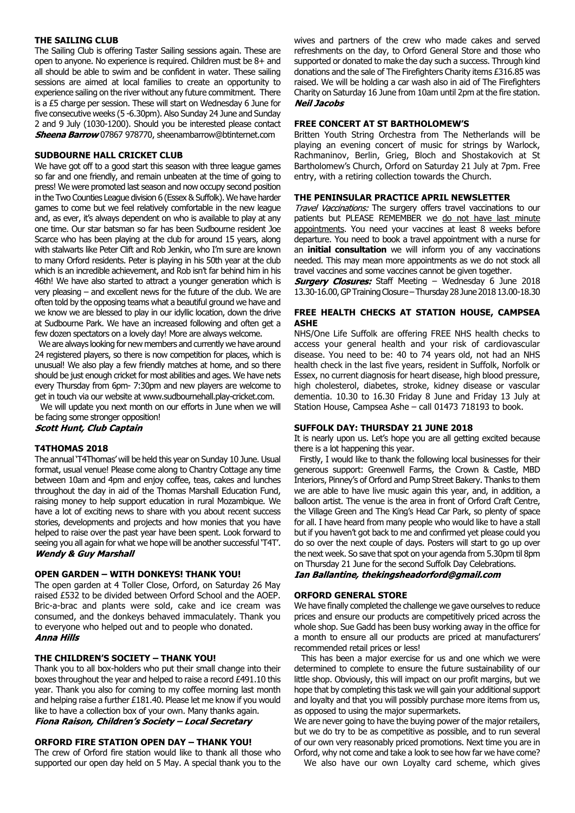## **THE SAILING CLUB**

The Sailing Club is offering Taster Sailing sessions again. These are open to anyone. No experience is required. Children must be 8+ and all should be able to swim and be confident in water. These sailing sessions are aimed at local families to create an opportunity to experience sailing on the river without any future commitment. There is a £5 charge per session. These will start on Wednesday 6 June for five consecutive weeks (5 -6.30pm). Also Sunday 24 June and Sunday 2 and 9 July (1030-1200). Should you be interested please contact **Sheena Barrow** 07867 978770, sheenambarrow@btinternet.com

# **SUDBOURNE HALL CRICKET CLUB**

We have got off to a good start this season with three league games so far and one friendly, and remain unbeaten at the time of going to press! We were promoted last season and now occupy second position in the Two Counties League division 6 (Essex & Suffolk). We have harder games to come but we feel relatively comfortable in the new league and, as ever, it's always dependent on who is available to play at any one time. Our star batsman so far has been Sudbourne resident Joe Scarce who has been playing at the club for around 15 years, along with stalwarts like Peter Clift and Rob Jenkin, who I'm sure are known to many Orford residents. Peter is playing in his 50th year at the club which is an incredible achievement, and Rob isn't far behind him in his 46th! We have also started to attract a younger generation which is very pleasing – and excellent news for the future of the club. We are often told by the opposing teams what a beautiful ground we have and we know we are blessed to play in our idyllic location, down the drive at Sudbourne Park. We have an increased following and often get a few dozen spectators on a lovely day! More are always welcome.

We are always looking for new members and currently we have around 24 registered players, so there is now competition for places, which is unusual! We also play a few friendly matches at home, and so there should be just enough cricket for most abilities and ages. We have nets every Thursday from 6pm- 7:30pm and new players are welcome to get in touch via our website at www.sudbournehall.play-cricket.com.

 We will update you next month on our efforts in June when we will be facing some stronger opposition!

**Scott Hunt, Club Captain** 

#### **T4THOMAS 2018**

The annual 'T4Thomas' will be held this year on Sunday 10 June. Usual format, usual venue! Please come along to Chantry Cottage any time between 10am and 4pm and enjoy coffee, teas, cakes and lunches throughout the day in aid of the Thomas Marshall Education Fund, raising money to help support education in rural Mozambique. We have a lot of exciting news to share with you about recent success stories, developments and projects and how monies that you have helped to raise over the past year have been spent. Look forward to seeing you all again for what we hope will be another successful 'T4T'.<br>Wendy & Guy Marshall

## **OPEN GARDEN – WITH DONKEYS! THANK YOU!**

The open garden at 4 Toller Close, Orford, on Saturday 26 May raised £532 to be divided between Orford School and the AOEP. Bric-a-brac and plants were sold, cake and ice cream was consumed, and the donkeys behaved immaculately. Thank you to everyone who helped out and to people who donated. **Anna Hills** 

#### **THE CHILDREN'S SOCIETY – THANK YOU!**

Thank you to all box-holders who put their small change into their boxes throughout the year and helped to raise a record £491.10 this year. Thank you also for coming to my coffee morning last month and helping raise a further £181.40. Please let me know if you would like to have a collection box of your own. Many thanks again. Fiona Raison, Children's Society - Local Secretary

# **ORFORD FIRE STATION OPEN DAY – THANK YOU!**

The crew of Orford fire station would like to thank all those who supported our open day held on 5 May. A special thank you to the wives and partners of the crew who made cakes and served refreshments on the day, to Orford General Store and those who supported or donated to make the day such a success. Through kind donations and the sale of The Firefighters Charity items £316.85 was raised. We will be holding a car wash also in aid of The Firefighters Charity on Saturday 16 June from 10am until 2pm at the fire station. **Neil Jacobs** 

#### **FREE CONCERT AT ST BARTHOLOMEW'S**

Britten Youth String Orchestra from The Netherlands will be playing an evening concert of music for strings by Warlock, Rachmaninov, Berlin, Grieg, Bloch and Shostakovich at St Bartholomew's Church, Orford on Saturday 21 July at 7pm. Free entry, with a retiring collection towards the Church.

#### **THE PENINSULAR PRACTICE APRIL NEWSLETTER**

Travel Vaccinations: The surgery offers travel vaccinations to our patients but PLEASE REMEMBER we do not have last minute appointments. You need your vaccines at least 8 weeks before departure. You need to book a travel appointment with a nurse for an **initial consultation** we will inform you of any vaccinations needed. This may mean more appointments as we do not stock all travel vaccines and some vaccines cannot be given together.

**Surgery Closures:** Staff Meeting – Wednesday 6 June 2018 13.30-16.00, GP Training Closure – Thursday 28 June 2018 13.00-18.30

# **FREE HEALTH CHECKS AT STATION HOUSE, CAMPSEA ASHE**

NHS/One Life Suffolk are offering FREE NHS health checks to access your general health and your risk of cardiovascular disease. You need to be: 40 to 74 years old, not had an NHS health check in the last five years, resident in Suffolk, Norfolk or Essex, no current diagnosis for heart disease, high blood pressure, high cholesterol, diabetes, stroke, kidney disease or vascular dementia. 10.30 to 16.30 Friday 8 June and Friday 13 July at Station House, Campsea Ashe – call 01473 718193 to book.

#### **SUFFOLK DAY: THURSDAY 21 JUNE 2018**

It is nearly upon us. Let's hope you are all getting excited because there is a lot happening this year.

 Firstly, I would like to thank the following local businesses for their generous support: Greenwell Farms, the Crown & Castle, MBD Interiors, Pinney's of Orford and Pump Street Bakery. Thanks to them we are able to have live music again this year, and, in addition, a balloon artist. The venue is the area in front of Orford Craft Centre, the Village Green and The King's Head Car Park, so plenty of space for all. I have heard from many people who would like to have a stall but if you haven't got back to me and confirmed yet please could you do so over the next couple of days. Posters will start to go up over the next week. So save that spot on your agenda from 5.30pm til 8pm on Thursday 21 June for the second Suffolk Day Celebrations. Ian Ballantine, thekingsheadorford@gmail.com

## **ORFORD GENERAL STORE**

We have finally completed the challenge we gave ourselves to reduce prices and ensure our products are competitively priced across the whole shop. Sue Gadd has been busy working away in the office for a month to ensure all our products are priced at manufacturers' recommended retail prices or less!

 This has been a major exercise for us and one which we were determined to complete to ensure the future sustainability of our little shop. Obviously, this will impact on our profit margins, but we hope that by completing this task we will gain your additional support and loyalty and that you will possibly purchase more items from us, as opposed to using the major supermarkets.

We are never going to have the buying power of the major retailers, but we do try to be as competitive as possible, and to run several of our own very reasonably priced promotions. Next time you are in Orford, why not come and take a look to see how far we have come?

We also have our own Loyalty card scheme, which gives